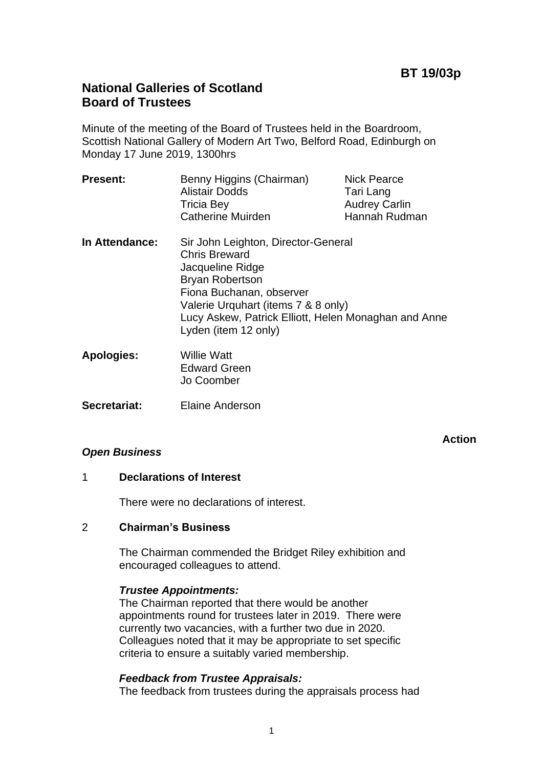# **National Galleries of Scotland Board of Trustees**

Minute of the meeting of the Board of Trustees held in the Boardroom, Scottish National Gallery of Modern Art Two, Belford Road, Edinburgh on Monday 17 June 2019, 1300hrs

| <b>Present:</b>   | Benny Higgins (Chairman)<br><b>Alistair Dodds</b><br><b>Tricia Bey</b><br><b>Catherine Muirden</b>                                                                                                                                                           | <b>Nick Pearce</b><br>Tari Lang<br><b>Audrey Carlin</b><br>Hannah Rudman |
|-------------------|--------------------------------------------------------------------------------------------------------------------------------------------------------------------------------------------------------------------------------------------------------------|--------------------------------------------------------------------------|
| In Attendance:    | Sir John Leighton, Director-General<br><b>Chris Breward</b><br>Jacqueline Ridge<br><b>Bryan Robertson</b><br>Fiona Buchanan, observer<br>Valerie Urquhart (items 7 & 8 only)<br>Lucy Askew, Patrick Elliott, Helen Monaghan and Anne<br>Lyden (item 12 only) |                                                                          |
| <b>Apologies:</b> | <b>Willie Watt</b><br><b>Edward Green</b><br>Jo Coomber                                                                                                                                                                                                      |                                                                          |

**Secretariat:** Elaine Anderson

## *Open Business*

**Action**

### 1 **Declarations of Interest**

There were no declarations of interest.

### 2 **Chairman's Business**

The Chairman commended the Bridget Riley exhibition and encouraged colleagues to attend.

### *Trustee Appointments:*

The Chairman reported that there would be another appointments round for trustees later in 2019. There were currently two vacancies, with a further two due in 2020. Colleagues noted that it may be appropriate to set specific criteria to ensure a suitably varied membership.

### *Feedback from Trustee Appraisals:*

The feedback from trustees during the appraisals process had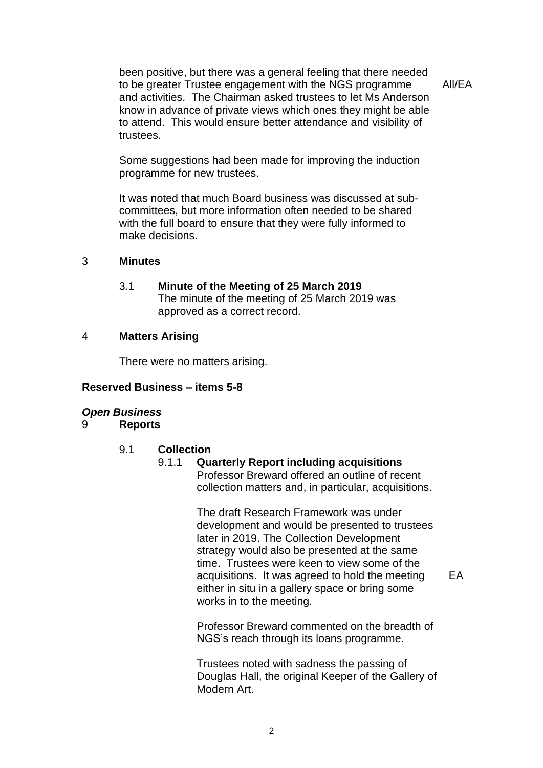been positive, but there was a general feeling that there needed to be greater Trustee engagement with the NGS programme and activities. The Chairman asked trustees to let Ms Anderson know in advance of private views which ones they might be able to attend. This would ensure better attendance and visibility of trustees.

All/EA

Some suggestions had been made for improving the induction programme for new trustees.

It was noted that much Board business was discussed at subcommittees, but more information often needed to be shared with the full board to ensure that they were fully informed to make decisions.

#### 3 **Minutes**

3.1 **Minute of the Meeting of 25 March 2019** The minute of the meeting of 25 March 2019 was approved as a correct record.

#### 4 **Matters Arising**

There were no matters arising.

#### **Reserved Business – items 5-8**

#### *Open Business*

9 **Reports**

#### 9.1 **Collection**

### 9.1.1 **Quarterly Report including acquisitions** Professor Breward offered an outline of recent collection matters and, in particular, acquisitions.

The draft Research Framework was under development and would be presented to trustees later in 2019. The Collection Development strategy would also be presented at the same time. Trustees were keen to view some of the acquisitions. It was agreed to hold the meeting either in situ in a gallery space or bring some works in to the meeting.

EA

Professor Breward commented on the breadth of NGS's reach through its loans programme.

Trustees noted with sadness the passing of Douglas Hall, the original Keeper of the Gallery of Modern Art.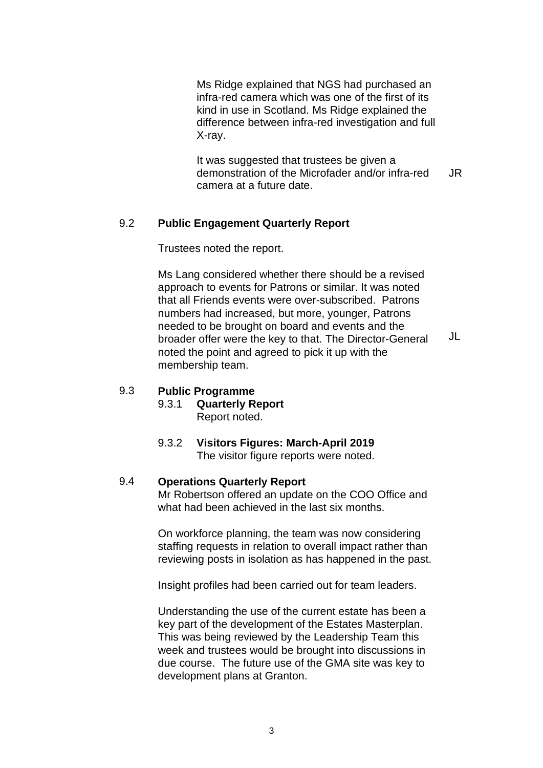Ms Ridge explained that NGS had purchased an infra-red camera which was one of the first of its kind in use in Scotland. Ms Ridge explained the difference between infra-red investigation and full X-ray.

It was suggested that trustees be given a demonstration of the Microfader and/or infra-red camera at a future date. JR

### 9.2 **Public Engagement Quarterly Report**

Trustees noted the report.

Ms Lang considered whether there should be a revised approach to events for Patrons or similar. It was noted that all Friends events were over-subscribed. Patrons numbers had increased, but more, younger, Patrons needed to be brought on board and events and the broader offer were the key to that. The Director-General noted the point and agreed to pick it up with the membership team. JL

#### 9.3 **Public Programme**

9.3.1 **Quarterly Report** Report noted.

### 9.3.2 **Visitors Figures: March-April 2019** The visitor figure reports were noted.

### 9.4 **Operations Quarterly Report**

Mr Robertson offered an update on the COO Office and what had been achieved in the last six months.

On workforce planning, the team was now considering staffing requests in relation to overall impact rather than reviewing posts in isolation as has happened in the past.

Insight profiles had been carried out for team leaders.

Understanding the use of the current estate has been a key part of the development of the Estates Masterplan. This was being reviewed by the Leadership Team this week and trustees would be brought into discussions in due course. The future use of the GMA site was key to development plans at Granton.